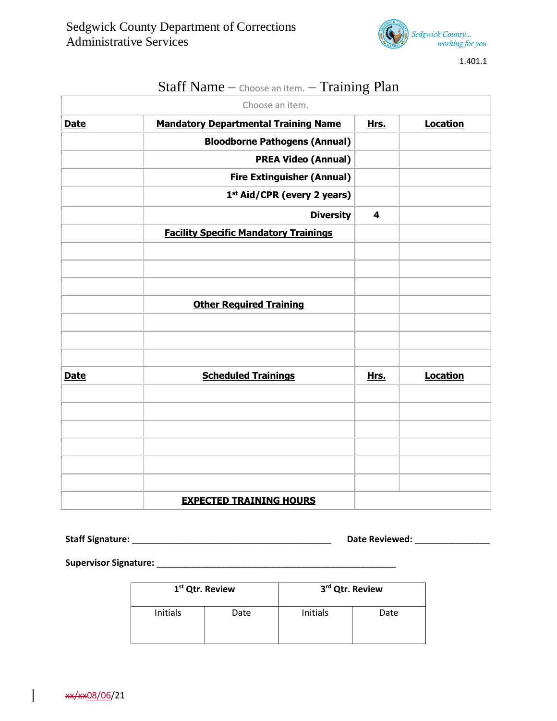

1.401.1

|             | Choose an item.                              |                         |                 |
|-------------|----------------------------------------------|-------------------------|-----------------|
| <b>Date</b> | <b>Mandatory Departmental Training Name</b>  | Hrs.                    | <b>Location</b> |
|             | <b>Bloodborne Pathogens (Annual)</b>         |                         |                 |
|             | <b>PREA Video (Annual)</b>                   |                         |                 |
|             | <b>Fire Extinguisher (Annual)</b>            |                         |                 |
|             | 1 <sup>st</sup> Aid/CPR (every 2 years)      |                         |                 |
|             | <b>Diversity</b>                             | $\overline{\mathbf{4}}$ |                 |
|             | <b>Facility Specific Mandatory Trainings</b> |                         |                 |
|             |                                              |                         |                 |
|             |                                              |                         |                 |
|             |                                              |                         |                 |
|             | <b>Other Required Training</b>               |                         |                 |
|             |                                              |                         |                 |
|             |                                              |                         |                 |
|             |                                              |                         |                 |
| <b>Date</b> | <b>Scheduled Trainings</b>                   | Hrs.                    | <b>Location</b> |
|             |                                              |                         |                 |
|             |                                              |                         |                 |
|             |                                              |                         |                 |
|             |                                              |                         |                 |
|             |                                              |                         |                 |
|             |                                              |                         |                 |
|             | <b>EXPECTED TRAINING HOURS</b>               |                         |                 |

## Staff Name – Choose an item. – Training Plan

**Staff Signature:** \_\_\_\_\_\_\_\_\_\_\_\_\_\_\_\_\_\_\_\_\_\_\_\_\_\_\_\_\_\_\_\_\_\_\_\_\_\_\_\_ **Date Reviewed:** \_\_\_\_\_\_\_\_\_\_\_\_\_\_\_

**Supervisor Signature:** \_\_\_\_\_\_\_\_\_\_\_\_\_\_\_\_\_\_\_\_\_\_\_\_\_\_\_\_\_\_\_\_\_\_\_\_\_\_\_\_\_\_\_\_\_\_\_\_

| 1 <sup>st</sup> Qtr. Review |      | 3 <sup>rd</sup> Qtr. Review |      |  |
|-----------------------------|------|-----------------------------|------|--|
| Initials                    | Date | Initials                    | Date |  |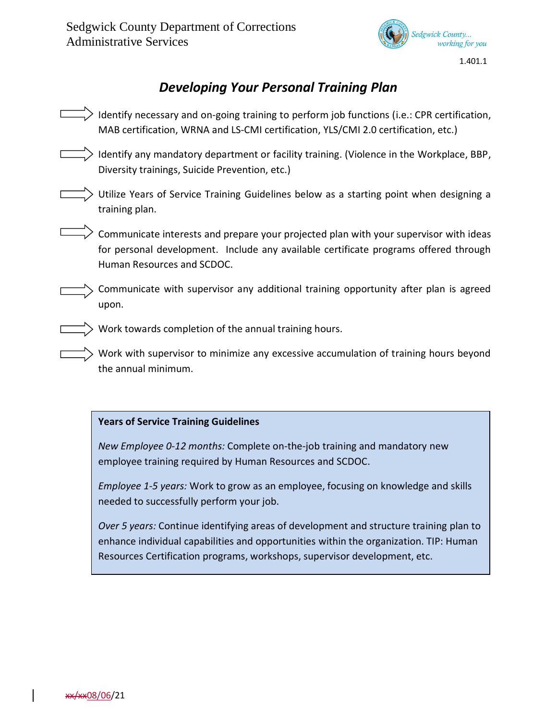

1.401.1

## *Developing Your Personal Training Plan*

Identify necessary and on-going training to perform job functions (i.e.: CPR certification, MAB certification, WRNA and LS-CMI certification, YLS/CMI 2.0 certification, etc.) > Identify any mandatory department or facility training. (Violence in the Workplace, BBP, Diversity trainings, Suicide Prevention, etc.) Utilize Years of Service Training Guidelines below as a starting point when designing a training plan.  $\geq$  Communicate interests and prepare your projected plan with your supervisor with ideas for personal development. Include any available certificate programs offered through Human Resources and SCDOC. Communicate with supervisor any additional training opportunity after plan is agreed upon. Work towards completion of the annual training hours. Work with supervisor to minimize any excessive accumulation of training hours beyond the annual minimum.

## **Years of Service Training Guidelines**

*New Employee 0-12 months:* Complete on-the-job training and mandatory new employee training required by Human Resources and SCDOC.

*Employee 1-5 years:* Work to grow as an employee, focusing on knowledge and skills needed to successfully perform your job.

*Over 5 years:* Continue identifying areas of development and structure training plan to enhance individual capabilities and opportunities within the organization. TIP: Human Resources Certification programs, workshops, supervisor development, etc.